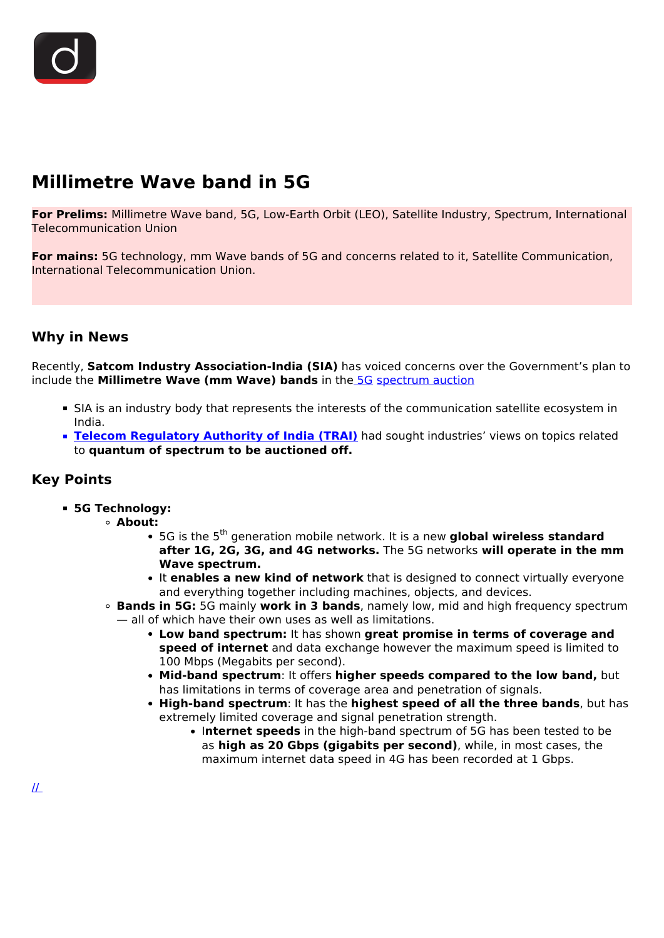# **Millimetre Wave band in 5G**

**For Prelims:** Millimetre Wave band, 5G, Low-Earth Orbit (LEO), Satellite Industry, Spectrum, International Telecommunication Union

**For mains:** 5G technology, mm Wave bands of 5G and concerns related to it, Satellite Communication, International Telecommunication Union.

## **Why in News**

Recently, **Satcom Industry Association-India (SIA)** has voiced concerns over the Government's plan to include the **Millimetre Wave (mm Wave) bands** in th[e 5G](/daily-updates/daily-news-analysis/5g-in-india) [spectrum auction](/daily-updates/daily-news-analysis/spectrum-auctions)

- SIA is an industry body that represents the interests of the communication satellite ecosystem in India.
- **[Telecom Regulatory Authority of India \(TRAI\)](/important-institutions/drishti-specials-important-institutions-national-institutions/telecom-regulatory-authority-of-india-trai)** had sought industries' views on topics related to **quantum of spectrum to be auctioned off.**

### **Key Points**

- **5G Technology:**
	- **About:**
		- **•** 5G is the 5<sup>th</sup> generation mobile network. It is a new global wireless standard **after 1G, 2G, 3G, and 4G networks.** The 5G networks **will operate in the mm Wave spectrum.**
		- **It enables a new kind of network** that is designed to connect virtually everyone and everything together including machines, objects, and devices.
		- **Bands in 5G:** 5G mainly **work in 3 bands**, namely low, mid and high frequency spectrum — all of which have their own uses as well as limitations.
			- **Low band spectrum:** It has shown **great promise in terms of coverage and speed of internet** and data exchange however the maximum speed is limited to 100 Mbps (Megabits per second).
			- **Mid-band spectrum**: It offers **higher speeds compared to the low band,** but has limitations in terms of coverage area and penetration of signals.
			- **High-band spectrum**: It has the **highest speed of all the three bands**, but has extremely limited coverage and signal penetration strength.
				- I**nternet speeds** in the high-band spectrum of 5G has been tested to be as **high as 20 Gbps (gigabits per second)**, while, in most cases, the maximum internet data speed in 4G has been recorded at 1 Gbps.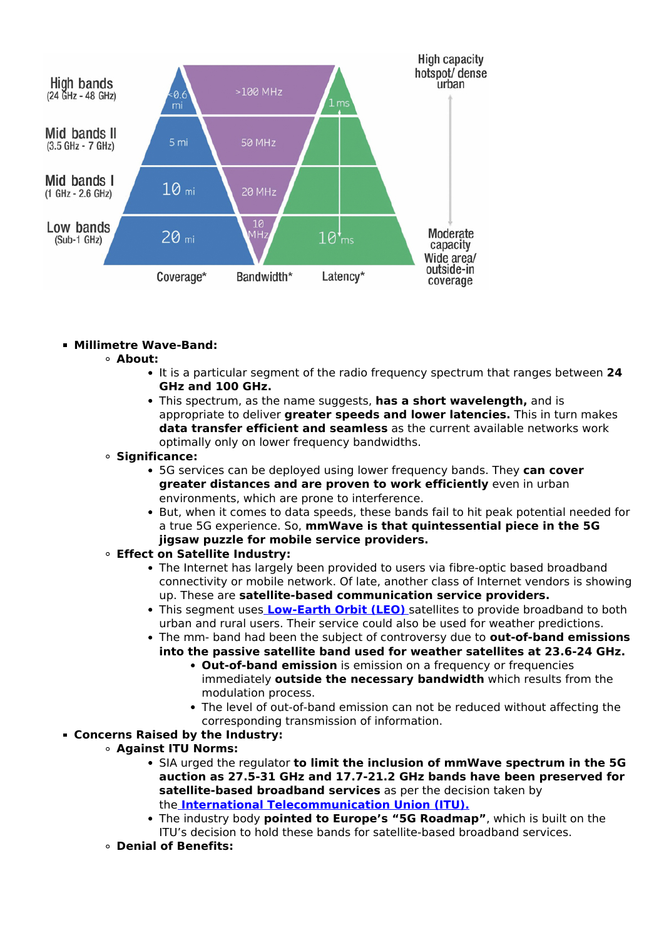

#### **Millimetre Wave-Band:**

- **About:**
	- It is a particular segment of the radio frequency spectrum that ranges between **24 GHz and 100 GHz.**
	- This spectrum, as the name suggests, **has a short wavelength,** and is appropriate to deliver **greater speeds and lower latencies.** This in turn makes **data transfer efficient and seamless** as the current available networks work optimally only on lower frequency bandwidths.

#### **Significance:**

- 5G services can be deployed using lower frequency bands. They **can cover greater distances and are proven to work efficiently** even in urban environments, which are prone to interference.
- But, when it comes to data speeds, these bands fail to hit peak potential needed for a true 5G experience. So, **mmWave is that quintessential piece in the 5G jigsaw puzzle for mobile service providers.**
- **Effect on Satellite Industry:**
	- The Internet has largely been provided to users via fibre-optic based broadband connectivity or mobile network. Of late, another class of Internet vendors is showing up. These are **satellite-based communication service providers.**
	- This segment uses **[Low-Earth Orbit \(LEO\)](/printpdf/gsat-29-satellite-launched-1-1)** [s](/printpdf/gsat-29-satellite-launched-1-1)atellites to provide broadband to both urban and rural users. Their service could also be used for weather predictions.
	- The mm- band had been the subject of controversy due to **out-of-band emissions into the passive satellite band used for weather satellites at 23.6-24 GHz.**
		- **Out-of-band emission** is emission on a frequency or frequencies immediately **outside the necessary bandwidth** which results from the modulation process.
		- The level of out-of-band emission can not be reduced without affecting the corresponding transmission of information.
- **Concerns Raised by the Industry:**
	- **Against ITU Norms:**
		- SIA urged the regulator **to limit the inclusion of mmWave spectrum in the 5G auction as 27.5-31 GHz and 17.7-21.2 GHz bands have been preserved for satellite-based broadband services** as per the decision taken by the **[International Telecommunication Union \(ITU\).](/daily-updates/daily-news-analysis/important-facts-for-prelims-12th-march-2019)**
		- The industry body **pointed to Europe's "5G Roadmap"**, which is built on the ITU's decision to hold these bands for satellite-based broadband services.
	- **Denial of Benefits:**